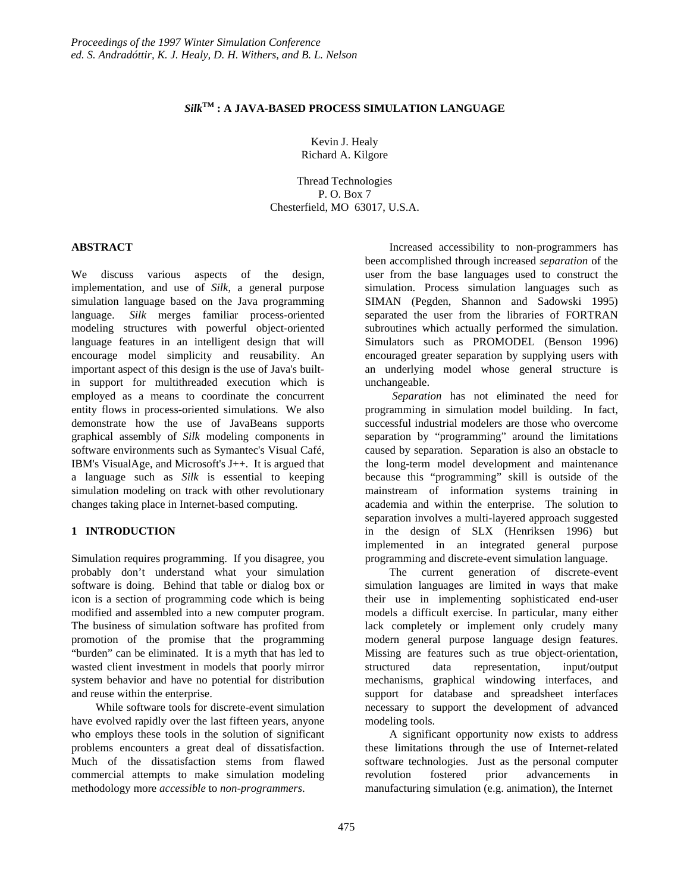# *Silk***TM : A JAVA-BASED PROCESS SIMULATION LANGUAGE**

Kevin J. Healy Richard A. Kilgore

Thread Technologies P. O. Box 7 Chesterfield, MO 63017, U.S.A.

## **ABSTRACT**

We discuss various aspects of the design, implementation, and use of *Silk*, a general purpose simulation language based on the Java programming language. *Silk* merges familiar process-oriented modeling structures with powerful object-oriented language features in an intelligent design that will encourage model simplicity and reusability. An important aspect of this design is the use of Java's builtin support for multithreaded execution which is employed as a means to coordinate the concurrent entity flows in process-oriented simulations. We also demonstrate how the use of JavaBeans supports graphical assembly of *Silk* modeling components in software environments such as Symantec's Visual Café, IBM's VisualAge, and Microsoft's J++. It is argued that a language such as *Silk* is essential to keeping simulation modeling on track with other revolutionary changes taking place in Internet-based computing.

# **1 INTRODUCTION**

Simulation requires programming. If you disagree, you probably don't understand what your simulation software is doing. Behind that table or dialog box or icon is a section of programming code which is being modified and assembled into a new computer program. The business of simulation software has profited from promotion of the promise that the programming "burden" can be eliminated. It is a myth that has led to wasted client investment in models that poorly mirror system behavior and have no potential for distribution and reuse within the enterprise.

While software tools for discrete-event simulation have evolved rapidly over the last fifteen years, anyone who employs these tools in the solution of significant problems encounters a great deal of dissatisfaction. Much of the dissatisfaction stems from flawed commercial attempts to make simulation modeling methodology more *accessible* to *non-programmers*.

Increased accessibility to non-programmers has been accomplished through increased *separation* of the user from the base languages used to construct the simulation. Process simulation languages such as SIMAN (Pegden, Shannon and Sadowski 1995) separated the user from the libraries of FORTRAN subroutines which actually performed the simulation. Simulators such as PROMODEL (Benson 1996) encouraged greater separation by supplying users with an underlying model whose general structure is unchangeable.

*Separation* has not eliminated the need for programming in simulation model building. In fact, successful industrial modelers are those who overcome separation by "programming" around the limitations caused by separation. Separation is also an obstacle to the long-term model development and maintenance because this "programming" skill is outside of the mainstream of information systems training in academia and within the enterprise. The solution to separation involves a multi-layered approach suggested in the design of SLX (Henriksen 1996) but implemented in an integrated general purpose programming and discrete-event simulation language.

The current generation of discrete-event simulation languages are limited in ways that make their use in implementing sophisticated end-user models a difficult exercise. In particular, many either lack completely or implement only crudely many modern general purpose language design features. Missing are features such as true object-orientation, structured data representation, input/output mechanisms, graphical windowing interfaces, and support for database and spreadsheet interfaces necessary to support the development of advanced modeling tools.

A significant opportunity now exists to address these limitations through the use of Internet-related software technologies. Just as the personal computer revolution fostered prior advancements in manufacturing simulation (e.g. animation), the Internet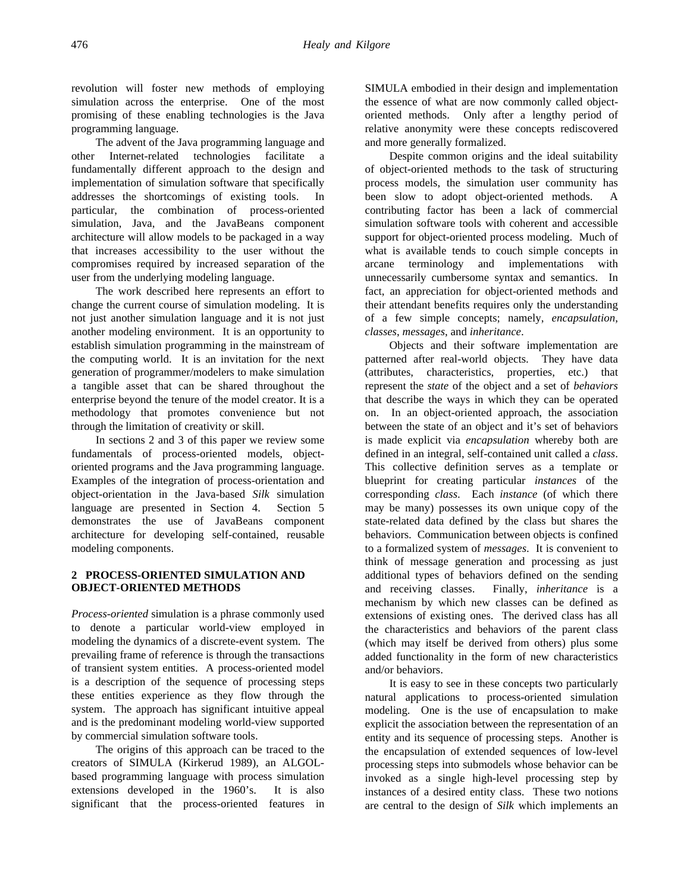revolution will foster new methods of employing simulation across the enterprise. One of the most promising of these enabling technologies is the Java programming language.

The advent of the Java programming language and other Internet-related technologies facilitate a fundamentally different approach to the design and implementation of simulation software that specifically addresses the shortcomings of existing tools. In particular, the combination of process-oriented simulation, Java, and the JavaBeans component architecture will allow models to be packaged in a way that increases accessibility to the user without the compromises required by increased separation of the user from the underlying modeling language.

The work described here represents an effort to change the current course of simulation modeling. It is not just another simulation language and it is not just another modeling environment. It is an opportunity to establish simulation programming in the mainstream of the computing world. It is an invitation for the next generation of programmer/modelers to make simulation a tangible asset that can be shared throughout the enterprise beyond the tenure of the model creator. It is a methodology that promotes convenience but not through the limitation of creativity or skill.

In sections 2 and 3 of this paper we review some fundamentals of process-oriented models, objectoriented programs and the Java programming language. Examples of the integration of process-orientation and object-orientation in the Java-based *Silk* simulation language are presented in Section 4. Section 5 demonstrates the use of JavaBeans component architecture for developing self-contained, reusable modeling components.

## **2 PROCESS-ORIENTED SIMULATION AND OBJECT-ORIENTED METHODS**

*Process-oriented* simulation is a phrase commonly used to denote a particular world-view employed in modeling the dynamics of a discrete-event system. The prevailing frame of reference is through the transactions of transient system entities. A process-oriented model is a description of the sequence of processing steps these entities experience as they flow through the system. The approach has significant intuitive appeal and is the predominant modeling world-view supported by commercial simulation software tools.

The origins of this approach can be traced to the creators of SIMULA (Kirkerud 1989), an ALGOLbased programming language with process simulation extensions developed in the 1960's. It is also significant that the process-oriented features in SIMULA embodied in their design and implementation the essence of what are now commonly called objectoriented methods. Only after a lengthy period of relative anonymity were these concepts rediscovered and more generally formalized.

Despite common origins and the ideal suitability of object-oriented methods to the task of structuring process models, the simulation user community has been slow to adopt object-oriented methods. A contributing factor has been a lack of commercial simulation software tools with coherent and accessible support for object-oriented process modeling. Much of what is available tends to couch simple concepts in arcane terminology and implementations with unnecessarily cumbersome syntax and semantics. In fact, an appreciation for object-oriented methods and their attendant benefits requires only the understanding of a few simple concepts; namely, *encapsulation*, *classes*, *messages*, and *inheritance*.

Objects and their software implementation are patterned after real-world objects. They have data (attributes, characteristics, properties, etc.) that represent the *state* of the object and a set of *behaviors* that describe the ways in which they can be operated on. In an object-oriented approach, the association between the state of an object and it's set of behaviors is made explicit via *encapsulation* whereby both are defined in an integral, self-contained unit called a *class*. This collective definition serves as a template or blueprint for creating particular *instances* of the corresponding *class*. Each *instance* (of which there may be many) possesses its own unique copy of the state-related data defined by the class but shares the behaviors. Communication between objects is confined to a formalized system of *messages*. It is convenient to think of message generation and processing as just additional types of behaviors defined on the sending and receiving classes. Finally, *inheritance* is a mechanism by which new classes can be defined as extensions of existing ones. The derived class has all the characteristics and behaviors of the parent class (which may itself be derived from others) plus some added functionality in the form of new characteristics and/or behaviors.

It is easy to see in these concepts two particularly natural applications to process-oriented simulation modeling. One is the use of encapsulation to make explicit the association between the representation of an entity and its sequence of processing steps. Another is the encapsulation of extended sequences of low-level processing steps into submodels whose behavior can be invoked as a single high-level processing step by instances of a desired entity class. These two notions are central to the design of *Silk* which implements an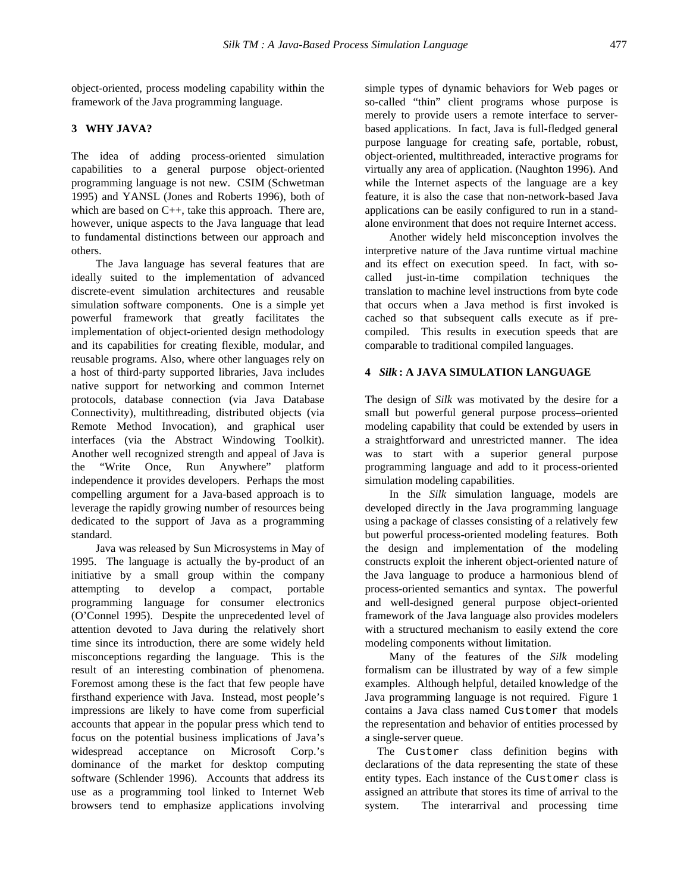object-oriented, process modeling capability within the framework of the Java programming language.

## **3 WHY JAVA?**

The idea of adding process-oriented simulation capabilities to a general purpose object-oriented programming language is not new. CSIM (Schwetman 1995) and YANSL (Jones and Roberts 1996), both of which are based on C++, take this approach. There are, however, unique aspects to the Java language that lead to fundamental distinctions between our approach and others.

The Java language has several features that are ideally suited to the implementation of advanced discrete-event simulation architectures and reusable simulation software components. One is a simple yet powerful framework that greatly facilitates the implementation of object-oriented design methodology and its capabilities for creating flexible, modular, and reusable programs. Also, where other languages rely on a host of third-party supported libraries, Java includes native support for networking and common Internet protocols, database connection (via Java Database Connectivity), multithreading, distributed objects (via Remote Method Invocation), and graphical user interfaces (via the Abstract Windowing Toolkit). Another well recognized strength and appeal of Java is the "Write Once, Run Anywhere" platform independence it provides developers. Perhaps the most compelling argument for a Java-based approach is to leverage the rapidly growing number of resources being dedicated to the support of Java as a programming standard.

Java was released by Sun Microsystems in May of 1995. The language is actually the by-product of an initiative by a small group within the company attempting to develop a compact, portable programming language for consumer electronics (O'Connel 1995). Despite the unprecedented level of attention devoted to Java during the relatively short time since its introduction, there are some widely held misconceptions regarding the language. This is the result of an interesting combination of phenomena. Foremost among these is the fact that few people have firsthand experience with Java. Instead, most people's impressions are likely to have come from superficial accounts that appear in the popular press which tend to focus on the potential business implications of Java's widespread acceptance on Microsoft Corp.'s dominance of the market for desktop computing software (Schlender 1996). Accounts that address its use as a programming tool linked to Internet Web browsers tend to emphasize applications involving

simple types of dynamic behaviors for Web pages or so-called "thin" client programs whose purpose is merely to provide users a remote interface to serverbased applications. In fact, Java is full-fledged general purpose language for creating safe, portable, robust, object-oriented, multithreaded, interactive programs for virtually any area of application. (Naughton 1996). And while the Internet aspects of the language are a key feature, it is also the case that non-network-based Java applications can be easily configured to run in a standalone environment that does not require Internet access.

Another widely held misconception involves the interpretive nature of the Java runtime virtual machine and its effect on execution speed. In fact, with socalled just-in-time compilation techniques the translation to machine level instructions from byte code that occurs when a Java method is first invoked is cached so that subsequent calls execute as if precompiled. This results in execution speeds that are comparable to traditional compiled languages.

## **4** *Silk* **: A JAVA SIMULATION LANGUAGE**

The design of *Silk* was motivated by the desire for a small but powerful general purpose process–oriented modeling capability that could be extended by users in a straightforward and unrestricted manner. The idea was to start with a superior general purpose programming language and add to it process-oriented simulation modeling capabilities.

In the *Silk* simulation language, models are developed directly in the Java programming language using a package of classes consisting of a relatively few but powerful process-oriented modeling features. Both the design and implementation of the modeling constructs exploit the inherent object-oriented nature of the Java language to produce a harmonious blend of process-oriented semantics and syntax. The powerful and well-designed general purpose object-oriented framework of the Java language also provides modelers with a structured mechanism to easily extend the core modeling components without limitation.

Many of the features of the *Silk* modeling formalism can be illustrated by way of a few simple examples. Although helpful, detailed knowledge of the Java programming language is not required. Figure 1 contains a Java class named Customer that models the representation and behavior of entities processed by a single-server queue.

The Customer class definition begins with declarations of the data representing the state of these entity types. Each instance of the Customer class is assigned an attribute that stores its time of arrival to the system. The interarrival and processing time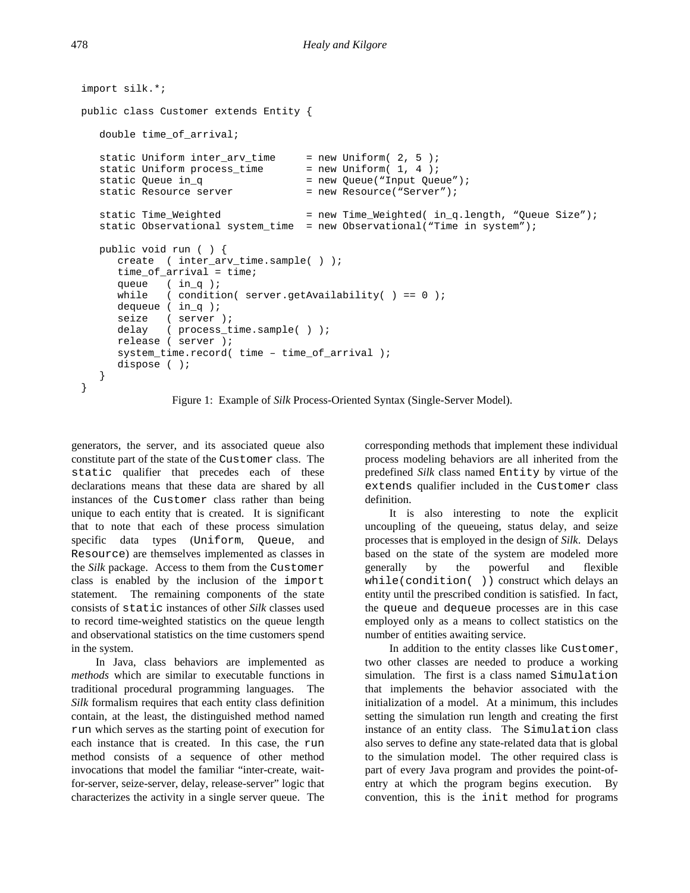```
import silk.*;
public class Customer extends Entity {
   double time_of_arrival;
  static Uniform inter_arv_time = new Uniform( 2, 5 );
  static Uniform process_time = new Uniform(1, 4);
  static Queue in_q = new Queue("Input Queue");
  static Resource server = new Resource("Server");
  static Time_Weighted = new Time_Weighted( in_q.length, "Queue Size");
   static Observational system_time = new Observational("Time in system");
   public void run ( ) {
      create ( inter_arv_time.sample( ) );
      time_of_arrival = time;
      queue ( in_q );
     while ( condition( server.getAvailability( ) == 0 );
      dequeue ( in_q );
      seize ( server );
     delay ( process_time.sample( ) );
      release ( server );
      system_time.record( time – time_of_arrival );
      dispose ( );
   }
}
```
Figure 1: Example of *Silk* Process-Oriented Syntax (Single-Server Model).

generators, the server, and its associated queue also constitute part of the state of the Customer class. The static qualifier that precedes each of these declarations means that these data are shared by all instances of the Customer class rather than being unique to each entity that is created. It is significant that to note that each of these process simulation specific data types (Uniform, Queue, and Resource) are themselves implemented as classes in the *Silk* package. Access to them from the Customer class is enabled by the inclusion of the import statement. The remaining components of the state consists of static instances of other *Silk* classes used to record time-weighted statistics on the queue length and observational statistics on the time customers spend in the system.

In Java, class behaviors are implemented as *methods* which are similar to executable functions in traditional procedural programming languages. The *Silk* formalism requires that each entity class definition contain, at the least, the distinguished method named run which serves as the starting point of execution for each instance that is created. In this case, the run method consists of a sequence of other method invocations that model the familiar "inter-create, waitfor-server, seize-server, delay, release-server" logic that characterizes the activity in a single server queue. The

corresponding methods that implement these individual process modeling behaviors are all inherited from the predefined *Silk* class named Entity by virtue of the extends qualifier included in the Customer class definition.

It is also interesting to note the explicit uncoupling of the queueing, status delay, and seize processes that is employed in the design of *Silk*. Delays based on the state of the system are modeled more generally by the powerful and flexible while(condition( )) construct which delays an entity until the prescribed condition is satisfied. In fact, the queue and dequeue processes are in this case employed only as a means to collect statistics on the number of entities awaiting service.

In addition to the entity classes like Customer, two other classes are needed to produce a working simulation. The first is a class named Simulation that implements the behavior associated with the initialization of a model. At a minimum, this includes setting the simulation run length and creating the first instance of an entity class. The Simulation class also serves to define any state-related data that is global to the simulation model. The other required class is part of every Java program and provides the point-ofentry at which the program begins execution. By convention, this is the init method for programs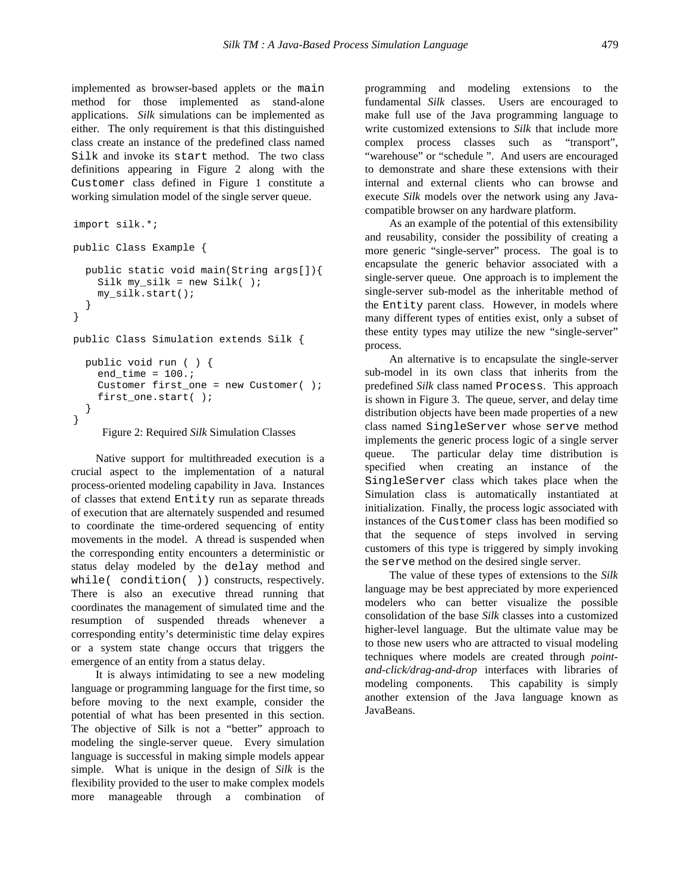implemented as browser-based applets or the main method for those implemented as stand-alone applications. *Silk* simulations can be implemented as either. The only requirement is that this distinguished class create an instance of the predefined class named Silk and invoke its start method. The two class definitions appearing in Figure 2 along with the Customer class defined in Figure 1 constitute a working simulation model of the single server queue.

```
import silk.*;
public Class Example {
   public static void main(String args[]){
    Silk my\_silk = new Silk();
     my_silk.start();
   }
}
public Class Simulation extends Silk {
   public void run ( ) {
    end_time = 100.;
     Customer first_one = new Customer( );
     first_one.start( );
   }
}
```

```
Figure 2: Required Silk Simulation Classes
```
Native support for multithreaded execution is a crucial aspect to the implementation of a natural process-oriented modeling capability in Java. Instances of classes that extend Entity run as separate threads of execution that are alternately suspended and resumed to coordinate the time-ordered sequencing of entity movements in the model. A thread is suspended when the corresponding entity encounters a deterministic or status delay modeled by the delay method and while( condition( )) constructs, respectively. There is also an executive thread running that coordinates the management of simulated time and the resumption of suspended threads whenever a corresponding entity's deterministic time delay expires or a system state change occurs that triggers the emergence of an entity from a status delay.

It is always intimidating to see a new modeling language or programming language for the first time, so before moving to the next example, consider the potential of what has been presented in this section. The objective of Silk is not a "better" approach to modeling the single-server queue. Every simulation language is successful in making simple models appear simple. What is unique in the design of *Silk* is the flexibility provided to the user to make complex models more manageable through a combination of

programming and modeling extensions to the fundamental *Silk* classes. Users are encouraged to make full use of the Java programming language to write customized extensions to *Silk* that include more complex process classes such as "transport", "warehouse" or "schedule ". And users are encouraged to demonstrate and share these extensions with their internal and external clients who can browse and execute *Silk* models over the network using any Javacompatible browser on any hardware platform.

As an example of the potential of this extensibility and reusability, consider the possibility of creating a more generic "single-server" process. The goal is to encapsulate the generic behavior associated with a single-server queue. One approach is to implement the single-server sub-model as the inheritable method of the Entity parent class. However, in models where many different types of entities exist, only a subset of these entity types may utilize the new "single-server" process.

An alternative is to encapsulate the single-server sub-model in its own class that inherits from the predefined *Silk* class named Process. This approach is shown in Figure 3. The queue, server, and delay time distribution objects have been made properties of a new class named SingleServer whose serve method implements the generic process logic of a single server queue. The particular delay time distribution is specified when creating an instance of the SingleServer class which takes place when the Simulation class is automatically instantiated at initialization. Finally, the process logic associated with instances of the Customer class has been modified so that the sequence of steps involved in serving customers of this type is triggered by simply invoking the serve method on the desired single server.

The value of these types of extensions to the *Silk* language may be best appreciated by more experienced modelers who can better visualize the possible consolidation of the base *Silk* classes into a customized higher-level language. But the ultimate value may be to those new users who are attracted to visual modeling techniques where models are created through *pointand-click/drag-and-drop* interfaces with libraries of modeling components. This capability is simply another extension of the Java language known as JavaBeans.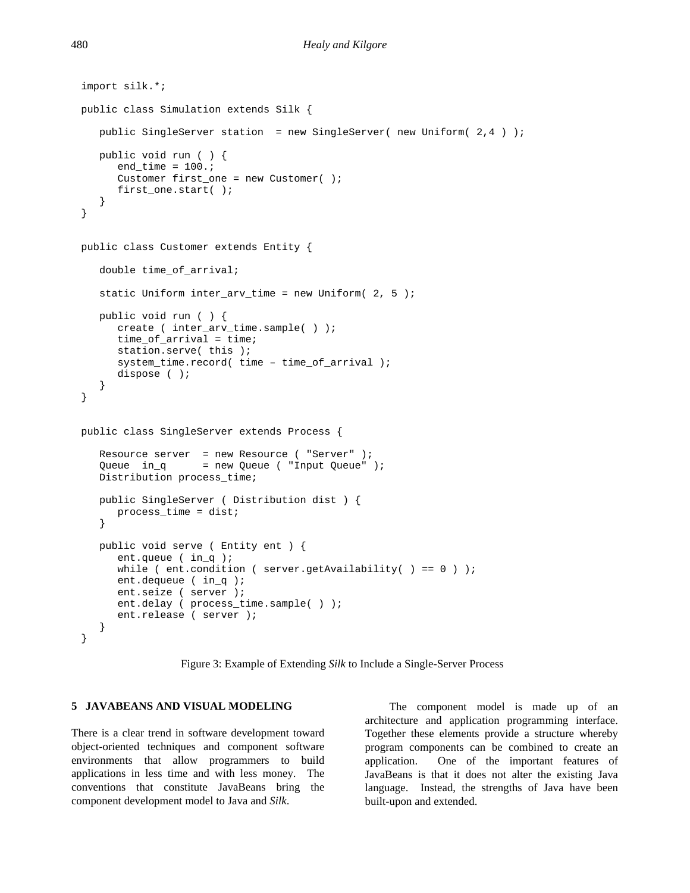```
import silk.*;
public class Simulation extends Silk {
    public SingleServer station = new SingleServer( new Uniform( 2,4 ) );
    public void run ( ) {
      end time = 100.;
       Customer first_one = new Customer( );
       first_one.start( );
    }
}
public class Customer extends Entity {
    double time_of_arrival;
   static Uniform inter_arv_time = new Uniform(2, 5);
    public void run ( ) {
       create ( inter_arv_time.sample( ) );
       time_of_arrival = time;
       station.serve( this );
       system_time.record( time – time_of_arrival );
       dispose ( );
    }
}
public class SingleServer extends Process {
    Resource server = new Resource ( "Server" );
   Queue in_q = new Queue ( "Input Queue" );
    Distribution process_time;
    public SingleServer ( Distribution dist ) {
       process_time = dist;
    }
    public void serve ( Entity ent ) {
       ent.queue ( in_q );
      while ( ent.condition ( server.getAvailableility() == 0 ) );
       ent.dequeue ( in_q );
       ent.seize ( server );
      ent.delay ( process_time.sample( ) );
       ent.release ( server );
    }
}
```
Figure 3: Example of Extending *Silk* to Include a Single-Server Process

## **5 JAVABEANS AND VISUAL MODELING**

There is a clear trend in software development toward object-oriented techniques and component software environments that allow programmers to build applications in less time and with less money. The conventions that constitute JavaBeans bring the component development model to Java and *Silk*.

The component model is made up of an architecture and application programming interface. Together these elements provide a structure whereby program components can be combined to create an application. One of the important features of JavaBeans is that it does not alter the existing Java language. Instead, the strengths of Java have been built-upon and extended.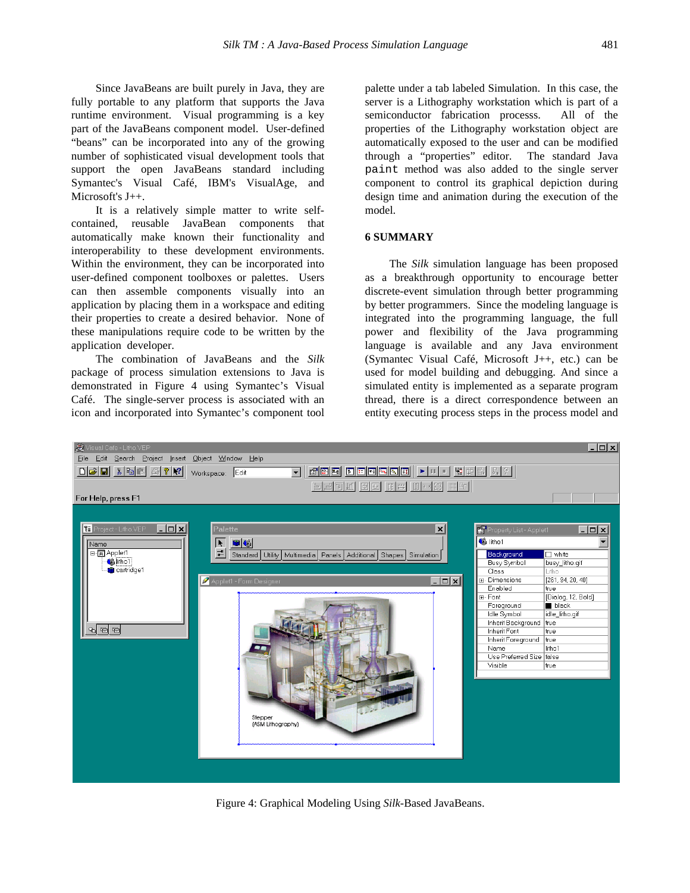Since JavaBeans are built purely in Java, they are fully portable to any platform that supports the Java runtime environment. Visual programming is a key part of the JavaBeans component model. User-defined "beans" can be incorporated into any of the growing number of sophisticated visual development tools that support the open JavaBeans standard including Symantec's Visual Café, IBM's VisualAge, and Microsoft's J++.

It is a relatively simple matter to write selfcontained, reusable JavaBean components that automatically make known their functionality and interoperability to these development environments. Within the environment, they can be incorporated into user-defined component toolboxes or palettes. Users can then assemble components visually into an application by placing them in a workspace and editing their properties to create a desired behavior. None of these manipulations require code to be written by the application developer.

The combination of JavaBeans and the *Silk* package of process simulation extensions to Java is demonstrated in Figure 4 using Symantec's Visual Café. The single-server process is associated with an icon and incorporated into Symantec's component tool

palette under a tab labeled Simulation. In this case, the server is a Lithography workstation which is part of a semiconductor fabrication processs. All of the properties of the Lithography workstation object are automatically exposed to the user and can be modified through a "properties" editor. The standard Java paint method was also added to the single server component to control its graphical depiction during design time and animation during the execution of the model.

## **6 SUMMARY**

The *Silk* simulation language has been proposed as a breakthrough opportunity to encourage better discrete-event simulation through better programming by better programmers. Since the modeling language is integrated into the programming language, the full power and flexibility of the Java programming language is available and any Java environment (Symantec Visual Café, Microsoft J++, etc.) can be used for model building and debugging. And since a simulated entity is implemented as a separate program thread, there is a direct correspondence between an entity executing process steps in the process model and



Figure 4: Graphical Modeling Using *Silk*-Based JavaBeans.